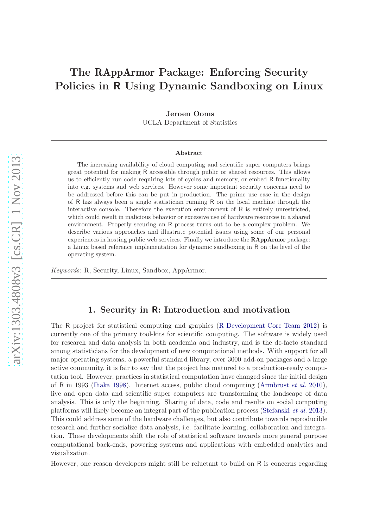# The RAppArmor Package: Enforcing Security Policies in R Using Dynamic Sandboxing on Linux

Jeroen Ooms

UCLA Department of Statistics

#### Abstract

The increasing availability of cloud computing and scientific super computers brings great potential for making R accessible through public or shared resources. This allows us to efficiently run code requiring lots of cycles and memory, or embed R functionality into e.g. systems and web services. However some important security concerns need to be addressed before this can be put in production. The prime use case in the design of R has always been a single statistician running R on the local machine through the interactive console. Therefore the execution environment of R is entirely unrestricted, which could result in malicious behavior or excessive use of hardware resources in a shared environment. Properly securing an R process turns out to be a complex problem. We describe various approaches and illustrate potential issues using some of our personal experiences in hosting public web services. Finally we introduce the RAppArmor package: a Linux based reference implementation for dynamic sandboxing in R on the level of the operating system.

Keywords: R, Security, Linux, Sandbox, AppArmor.

### 1. Security in R: Introduction and motivation

The R project for statistical computing and graphics [\(R Development Core Team 2012](#page-30-0)) is currently one of the primary tool-kits for scientific computing. The software is widely used for research and data analysis in both academia and industry, and is the de-facto standard among statisticians for the development of new computational methods. With support for all major operating systems, a powerful standard library, over 3000 add-on packages and a large active community, it is fair to say that the project has matured to a production-ready computation tool. However, practices in statistical computation have changed since the initial design of R in 1993 [\(Ihaka 1998](#page-29-0)). Internet access, public cloud computing [\(Armbrust](#page-28-0) *et al.* [2010\)](#page-28-0), live and open data and scientific super computers are transforming the landscape of data analysis. This is only the beginning. Sharing of data, code and results on social computing platforms will likely become an integral part of the publication process [\(Stefanski](#page-30-0) et al. [2013\)](#page-30-0). This could address some of the hardware challenges, but also contribute towards reproducible research and further socialize data analysis, i.e. facilitate learning, collaboration and integration. These developments shift the role of statistical software towards more general purpose computational back-ends, powering systems and applications with embedded analytics and visualization.

However, one reason developers might still be reluctant to build on R is concerns regarding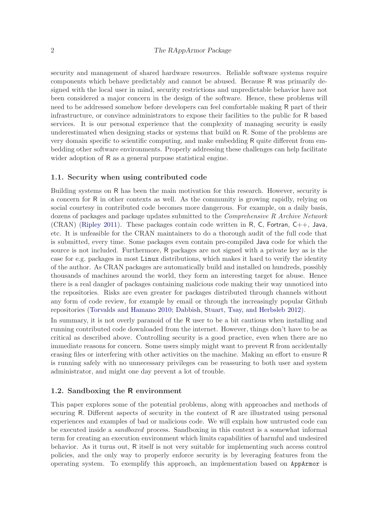### 2 The RAppArmor Package

security and management of shared hardware resources. Reliable software systems require components which behave predictably and cannot be abused. Because R was primarily designed with the local user in mind, security restrictions and unpredictable behavior have not been considered a major concern in the design of the software. Hence, these problems will need to be addressed somehow before developers can feel comfortable making R part of their infrastructure, or convince administrators to expose their facilities to the public for R based services. It is our personal experience that the complexity of managing security is easily underestimated when designing stacks or systems that build on R. Some of the problems are very domain specific to scientific computing, and make embedding R quite different from embedding other software environments. Properly addressing these challenges can help facilitate wider adoption of R as a general purpose statistical engine.

#### 1.1. Security when using contributed code

Building systems on R has been the main motivation for this research. However, security is a concern for R in other contexts as well. As the community is growing rapidly, relying on social courtesy in contributed code becomes more dangerous. For example, on a daily basis, dozens of packages and package updates submitted to the Comprehensive R Archive Network  $(CRAN)$  [\(Ripley 2011](#page-30-0)). These packages contain code written in R, C, Fortran,  $C_{++}$ , Java, etc. It is unfeasible for the CRAN maintainers to do a thorough audit of the full code that is submitted, every time. Some packages even contain pre-compiled Java code for which the source is not included. Furthermore, R packages are not signed with a private key as is the case for e.g. packages in most Linux distributions, which makes it hard to verify the identity of the author. As CRAN packages are automatically build and installed on hundreds, possibly thousands of machines around the world, they form an interesting target for abuse. Hence there is a real dangler of packages containing malicious code making their way unnoticed into the repositories. Risks are even greater for packages distributed through channels without any form of code review, for example by email or through the increasingly popular Github repositories [\(Torvalds and Hamano 2010;](#page-30-0) [Dabbish, Stuart, Tsay, and Herbsleb 2012](#page-29-0)).

In summary, it is not overly paranoid of the R user to be a bit cautious when installing and running contributed code downloaded from the internet. However, things don't have to be as critical as described above. Controlling security is a good practice, even when there are no immediate reasons for concern. Some users simply might want to prevent R from accidentally erasing files or interfering with other activities on the machine. Making an effort to ensure R is running safely with no unnecessary privileges can be reassuring to both user and system administrator, and might one day prevent a lot of trouble.

### 1.2. Sandboxing the R environment

This paper explores some of the potential problems, along with approaches and methods of securing R. Different aspects of security in the context of R are illustrated using personal experiences and examples of bad or malicious code. We will explain how untrusted code can be executed inside a sandboxed process. Sandboxing in this context is a somewhat informal term for creating an execution environment which limits capabilities of harmful and undesired behavior. As it turns out, R itself is not very suitable for implementing such access control policies, and the only way to properly enforce security is by leveraging features from the operating system. To exemplify this approach, an implementation based on AppArmor is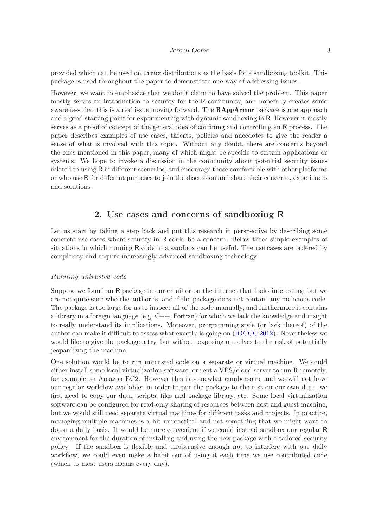provided which can be used on Linux distributions as the basis for a sandboxing toolkit. This package is used throughout the paper to demonstrate one way of addressing issues.

However, we want to emphasize that we don't claim to have solved the problem. This paper mostly serves an introduction to security for the R community, and hopefully creates some awareness that this is a real issue moving forward. The RAppArmor package is one approach and a good starting point for experimenting with dynamic sandboxing in R. However it mostly serves as a proof of concept of the general idea of confining and controlling an R process. The paper describes examples of use cases, threats, policies and anecdotes to give the reader a sense of what is involved with this topic. Without any doubt, there are concerns beyond the ones mentioned in this paper, many of which might be specific to certain applications or systems. We hope to invoke a discussion in the community about potential security issues related to using R in different scenarios, and encourage those comfortable with other platforms or who use R for different purposes to join the discussion and share their concerns, experiences and solutions.

### 2. Use cases and concerns of sandboxing R

Let us start by taking a step back and put this research in perspective by describing some concrete use cases where security in R could be a concern. Below three simple examples of situations in which running R code in a sandbox can be useful. The use cases are ordered by complexity and require increasingly advanced sandboxing technology.

#### Running untrusted code

Suppose we found an R package in our email or on the internet that looks interesting, but we are not quite sure who the author is, and if the package does not contain any malicious code. The package is too large for us to inspect all of the code manually, and furthermore it contains a library in a foreign language (e.g.  $C_{++}$ , Fortran) for which we lack the knowledge and insight to really understand its implications. Moreover, programming style (or lack thereof) of the author can make it difficult to assess what exactly is going on [\(IOCCC 2012](#page-29-0)). Nevertheless we would like to give the package a try, but without exposing ourselves to the risk of potentially jeopardizing the machine.

One solution would be to run untrusted code on a separate or virtual machine. We could either install some local virtualization software, or rent a VPS/cloud server to run R remotely, for example on Amazon EC2. However this is somewhat cumbersome and we will not have our regular workflow available: in order to put the package to the test on our own data, we first need to copy our data, scripts, files and package library, etc. Some local virtualization software can be configured for read-only sharing of resources between host and guest machine, but we would still need separate virtual machines for different tasks and projects. In practice, managing multiple machines is a bit unpractical and not something that we might want to do on a daily basis. It would be more convenient if we could instead sandbox our regular R environment for the duration of installing and using the new package with a tailored security policy. If the sandbox is flexible and unobtrusive enough not to interfere with our daily workflow, we could even make a habit out of using it each time we use contributed code (which to most users means every day).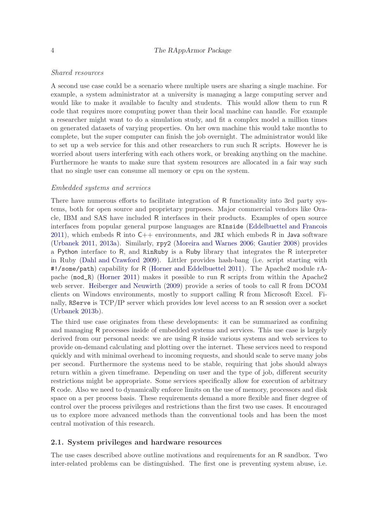### Shared resources

A second use case could be a scenario where multiple users are sharing a single machine. For example, a system administrator at a university is managing a large computing server and would like to make it available to faculty and students. This would allow them to run R code that requires more computing power than their local machine can handle. For example a researcher might want to do a simulation study, and fit a complex model a million times on generated datasets of varying properties. On her own machine this would take months to complete, but the super computer can finish the job overnight. The administrator would like to set up a web service for this and other researchers to run such R scripts. However he is worried about users interfering with each others work, or breaking anything on the machine. Furthermore he wants to make sure that system resources are allocated in a fair way such that no single user can consume all memory or cpu on the system.

#### Embedded systems and services

There have numerous efforts to facilitate integration of R functionality into 3rd party systems, both for open source and proprietary purposes. Major commercial vendors like Oracle, IBM and SAS have included R interfaces in their products. Examples of open source interfaces from popular general purpose languages are RInside [\(Eddelbuettel and Francois](#page-29-0)  $2011$ , which embeds R into  $C_{++}$  environments, and JRI which embeds R in Java software [\(Urbanek 2011,](#page-30-0) [2013a](#page-30-0)). Similarly, rpy2 [\(Moreira and Warnes 2006](#page-30-0); [Gautier 2008](#page-29-0)) provides a Python interface to R, and RinRuby is a Ruby library that integrates the R interpreter in Ruby [\(Dahl and Crawford 2009](#page-29-0)). Littler provides hash-bang (i.e. script starting with #!/some/path) capability for R [\(Horner and Eddelbuettel 2011\)](#page-29-0). The Apache2 module rApache (mod\_R) [\(Horner 2011](#page-29-0)) makes it possible to run R scripts from within the Apache2 web server. [Heiberger and Neuwirth](#page-29-0) [\(2009](#page-29-0)) provide a series of tools to call R from DCOM clients on Windows environments, mostly to support calling R from Microsoft Excel. Finally, RServe is TCP/IP server which provides low level access to an R session over a socket [\(Urbanek 2013b](#page-30-0)).

The third use case originates from these developments: it can be summarized as confining and managing R processes inside of embedded systems and services. This use case is largely derived from our personal needs: we are using R inside various systems and web services to provide on-demand calculating and plotting over the internet. These services need to respond quickly and with minimal overhead to incoming requests, and should scale to serve many jobs per second. Furthermore the systems need to be stable, requiring that jobs should always return within a given timeframe. Depending on user and the type of job, different security restrictions might be appropriate. Some services specifically allow for execution of arbitrary R code. Also we need to dynamically enforce limits on the use of memory, processors and disk space on a per process basis. These requirements demand a more flexible and finer degree of control over the process privileges and restrictions than the first two use cases. It encouraged us to explore more advanced methods than the conventional tools and has been the most central motivation of this research.

### 2.1. System privileges and hardware resources

The use cases described above outline motivations and requirements for an R sandbox. Two inter-related problems can be distinguished. The first one is preventing system abuse, i.e.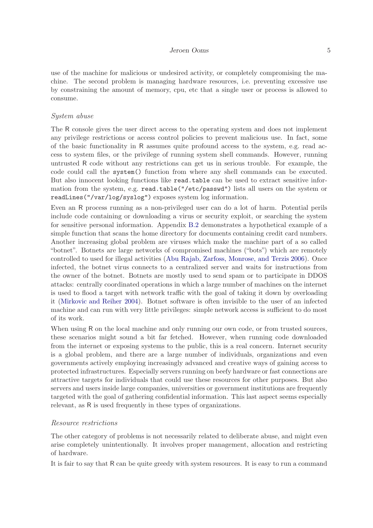#### Jeroen Ooms 5

use of the machine for malicious or undesired activity, or completely compromising the machine. The second problem is managing hardware resources, i.e. preventing excessive use by constraining the amount of memory, cpu, etc that a single user or process is allowed to consume.

#### System abuse

The R console gives the user direct access to the operating system and does not implement any privilege restrictions or access control policies to prevent malicious use. In fact, some of the basic functionality in R assumes quite profound access to the system, e.g. read access to system files, or the privilege of running system shell commands. However, running untrusted R code without any restrictions can get us in serious trouble. For example, the code could call the system() function from where any shell commands can be executed. But also innocent looking functions like read.table can be used to extract sensitive information from the system, e.g. read.table("/etc/passwd") lists all users on the system or readLines("/var/log/syslog") exposes system log information.

Even an R process running as a non-privileged user can do a lot of harm. Potential perils include code containing or downloading a virus or security exploit, or searching the system for sensitive personal information. Appendix [B.2](#page-25-0) demonstrates a hypothetical example of a simple function that scans the home directory for documents containing credit card numbers. Another increasing global problem are viruses which make the machine part of a so called "botnet". Botnets are large networks of compromised machines ("bots") which are remotely controlled to used for illegal activities [\(Abu Rajab, Zarfoss, Monrose, and Terzis 2006\)](#page-28-0). Once infected, the botnet virus connects to a centralized server and waits for instructions from the owner of the botnet. Botnets are mostly used to send spam or to participate in DDOS attacks: centrally coordinated operations in which a large number of machines on the internet is used to flood a target with network traffic with the goal of taking it down by overloading it [\(Mirkovic and Reiher 2004](#page-30-0)). Botnet software is often invisible to the user of an infected machine and can run with very little privileges: simple network access is sufficient to do most of its work.

When using R on the local machine and only running our own code, or from trusted sources, these scenarios might sound a bit far fetched. However, when running code downloaded from the internet or exposing systems to the public, this is a real concern. Internet security is a global problem, and there are a large number of individuals, organizations and even governments actively employing increasingly advanced and creative ways of gaining access to protected infrastructures. Especially servers running on beefy hardware or fast connections are attractive targets for individuals that could use these resources for other purposes. But also servers and users inside large companies, universities or government institutions are frequently targeted with the goal of gathering confidential information. This last aspect seems especially relevant, as R is used frequently in these types of organizations.

#### Resource restrictions

The other category of problems is not necessarily related to deliberate abuse, and might even arise completely unintentionally. It involves proper management, allocation and restricting of hardware.

It is fair to say that R can be quite greedy with system resources. It is easy to run a command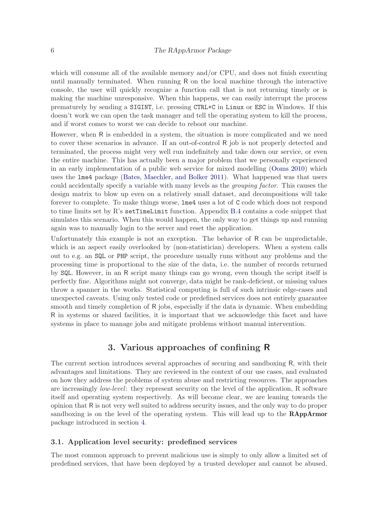which will consume all of the available memory and/or CPU, and does not finish executing until manually terminated. When running R on the local machine through the interactive console, the user will quickly recognize a function call that is not returning timely or is making the machine unresponsive. When this happens, we can easily interrupt the process prematurely by sending a SIGINT, i.e. pressing CTRL+C in Linux or ESC in Windows. If this doesn't work we can open the task manager and tell the operating system to kill the process, and if worst comes to worst we can decide to reboot our machine.

However, when R is embedded in a system, the situation is more complicated and we need to cover these scenarios in advance. If an out-of-control R job is not properly detected and terminated, the process might very well run indefinitely and take down our service, or even the entire machine. This has actually been a major problem that we personally experienced in an early implementation of a public web service for mixed modelling [\(Ooms 2010](#page-30-0)) which uses the lme4 package [\(Bates, Maechler, and Bolker 2011](#page-28-0)). What happened was that users could accidentally specify a variable with many levels as the grouping factor. This causes the design matrix to blow up even on a relatively small dataset, and decompositions will take forever to complete. To make things worse, lme4 uses a lot of C code which does not respond to time limits set by R's setTimeLimit function. Appendix [B.4](#page-26-0) contains a code snippet that simulates this scenario. When this would happen, the only way to get things up and running again was to manually login to the server and reset the application.

Unfortunately this example is not an exception. The behavior of R can be unpredictable, which is an aspect easily overlooked by (non-statistician) developers. When a system calls out to e.g. an SQL or PHP script, the procedure usually runs without any problems and the processing time is proportional to the size of the data, i.e. the number of records returned by SQL. However, in an R script many things can go wrong, even though the script itself is perfectly fine. Algorithms might not converge, data might be rank-deficient, or missing values throw a spanner in the works. Statistical computing is full of such intrinsic edge-cases and unexpected caveats. Using only tested code or predefined services does not entirely guarantee smooth and timely completion of R jobs, especially if the data is dynamic. When embedding R in systems or shared facilities, it is important that we acknowledge this facet and have systems in place to manage jobs and mitigate problems without manual intervention.

# 3. Various approaches of confining R

The current section introduces several approaches of securing and sandboxing R, with their advantages and limitations. They are reviewed in the context of our use cases, and evaluated on how they address the problems of system abuse and restricting resources. The approaches are increasingly low-level: they represent security on the level of the application, R software itself and operating system respectively. As will become clear, we are leaning towards the opinion that R is not very well suited to address security issues, and the only way to do proper sandboxing is on the level of the operating system. This will lead up to the RAppArmor package introduced in section [4.](#page-9-0)

### 3.1. Application level security: predefined services

The most common approach to prevent malicious use is simply to only allow a limited set of predefined services, that have been deployed by a trusted developer and cannot be abused.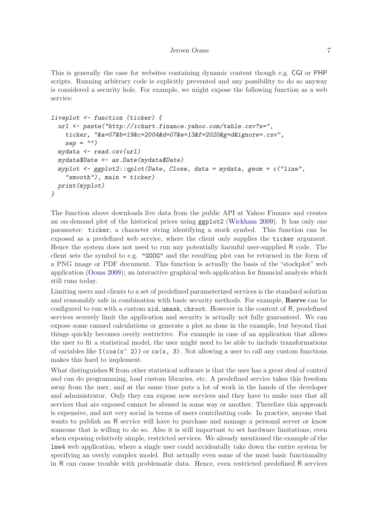This is generally the case for websites containing dynamic content though e.g. CGI or PHP scripts. Running arbitrary code is explicitly prevented and any possibility to do so anyway is considered a security hole. For example, we might expose the following function as a web service:

```
liveplot <- function (ticker) {
  url <- paste("http://ichart.finance.yahoo.com/table.csv?s=",
    ticker, "&a=07&b=19&c=2004&d=07&e=13&f=2020&g=d&ignore=.csv",
    sep = "")
 mydata <- read.csv(url)
 mydata$Date <- as.Date(mydata$Date)
 myplot <- ggplot2::qplot(Date, Close, data = mydata, geom = c("line",
    "smooth"), main = ticker)
 print(myplot)
}
```
The function above downloads live data from the public API at Yahoo Finance and creates an on-demand plot of the historical prices using ggplot2 [\(Wickham 2009\)](#page-30-0). It has only one parameter: ticker, a character string identifying a stock symbol. This function can be exposed as a predefined web service, where the client only supplies the ticker argument. Hence the system does not need to run any potentially harmful user-supplied R code. The client sets the symbol to e.g. "GOOG" and the resulting plot can be returned in the form of a PNG image or PDF document. This function is actually the basis of the "stockplot" web application [\(Ooms 2009](#page-30-0)); an interactive graphical web application for financial analysis which still runs today.

Limiting users and clients to a set of predefined parameterized services is the standard solution and reasonably safe in combination with basic security methods. For example, Rserve can be configured to run with a custom uid, umask, chroot. However in the context of R, predefined services severely limit the application and security is actually not fully guaranteed. We can expose some canned calculations or generate a plot as done in the example, but beyond that things quickly becomes overly restrictive. For example in case of an application that allows the user to fit a statistical model, the user might need to be able to include transformations of variables like  $I(\cos(x^ 2))$  or  $cs(x, 3)$ . Not allowing a user to call any custom functions makes this hard to implement.

What distinguishes R from other statistical software is that the user has a great deal of control and can do programming, load custom libraries, etc. A predefined service takes this freedom away from the user, and at the same time puts a lot of work in the hands of the developer and administrator. Only they can expose new services and they have to make sure that all services that are exposed cannot be abused in some way or another. Therefore this approach is expensive, and not very social in terms of users contributing code. In practice, anyone that wants to publish an R service will have to purchase and manage a personal server or know someone that is willing to do so. Also it is still important to set hardware limitations, even when exposing relatively simple, restricted services. We already mentioned the example of the lme4 web application, where a single user could accidentally take down the entire system by specifying an overly complex model. But actually even some of the most basic functionality in R can cause trouble with problematic data. Hence, even restricted predefined R services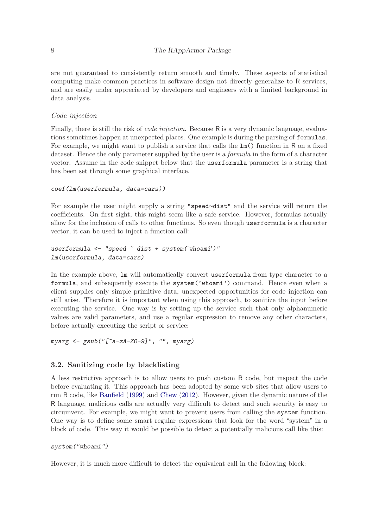are not guaranteed to consistently return smooth and timely. These aspects of statistical computing make common practices in software design not directly generalize to R services, and are easily under appreciated by developers and engineers with a limited background in data analysis.

### Code injection

Finally, there is still the risk of *code injection*. Because R is a very dynamic language, evaluations sometimes happen at unexpected places. One example is during the parsing of formulas. For example, we might want to publish a service that calls the lm() function in R on a fixed dataset. Hence the only parameter supplied by the user is a *formula* in the form of a character vector. Assume in the code snippet below that the userformula parameter is a string that has been set through some graphical interface.

```
coef(lm(userformula, data=cars))
```
For example the user might supply a string "speed∼dist" and the service will return the coefficients. On first sight, this might seem like a safe service. However, formulas actually allow for the inclusion of calls to other functions. So even though userformula is a character vector, it can be used to inject a function call:

```
userformula <- "speed ~ dist + system('whoami')"
lm(userformula, data=cars)
```
In the example above, lm will automatically convert userformula from type character to a formula, and subsequently execute the system('whoami') command. Hence even when a client supplies only simple primitive data, unexpected opportunities for code injection can still arise. Therefore it is important when using this approach, to sanitize the input before executing the service. One way is by setting up the service such that only alphanumeric values are valid parameters, and use a regular expression to remove any other characters, before actually executing the script or service:

```
myarg <- gsub("[^a-zA-Z0-9]", "", myarg)
```
### 3.2. Sanitizing code by blacklisting

A less restrictive approach is to allow users to push custom R code, but inspect the code before evaluating it. This approach has been adopted by some web sites that allow users to run R code, like [Banfield](#page-28-0) [\(1999](#page-28-0)) and [Chew](#page-29-0) [\(2012](#page-29-0)). However, given the dynamic nature of the R language, malicious calls are actually very difficult to detect and such security is easy to circumvent. For example, we might want to prevent users from calling the system function. One way is to define some smart regular expressions that look for the word "system" in a block of code. This way it would be possible to detect a potentially malicious call like this:

```
system("whoami")
```
However, it is much more difficult to detect the equivalent call in the following block: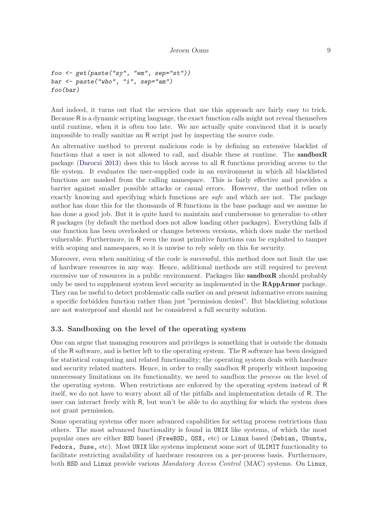```
foo <- get(paste("sy", "em", sep="st"))
bar <- paste("who", "i", sep="am")
foo(bar)
```
And indeed, it turns out that the services that use this approach are fairly easy to trick. Because R is a dynamic scripting language, the exact function calls might not reveal themselves until runtime, when it is often too late. We are actually quite convinced that it is nearly impossible to really sanitize an R script just by inspecting the source code.

An alternative method to prevent malicious code is by defining an extensive blacklist of functions that a user is not allowed to call, and disable these at runtime. The sandboxR package [\(Daroczi 2013](#page-29-0)) does this to block access to all R functions providing access to the file system. It evaluates the user-supplied code in an environment in which all blacklisted functions are masked from the calling namespace. This is fairly effective and provides a barrier against smaller possible attacks or casual errors. However, the method relies on exactly knowing and specifying which functions are *safe* and which are not. The package author has done this for the thousands of R functions in the base package and we assume he has done a good job. But it is quite hard to maintain and cumbersome to generalize to other R packages (by default the method does not allow loading other packages). Everything falls if one function has been overlooked or changes between versions, which does make the method vulnerable. Furthermore, in R even the most primitive functions can be exploited to tamper with scoping and namespaces, so it is unwise to rely solely on this for security.

Moreover, even when sanitizing of the code is successful, this method does not limit the use of hardware resources in any way. Hence, additional methods are still required to prevent excessive use of resources in a public environment. Packages like **sandboxR** should probably only be used to supplement system level security as implemented in the **RAppArmor** package. They can be useful to detect problematic calls earlier on and present informative errors naming a specific forbidden function rather than just "permission denied". But blacklisting solutions are not waterproof and should not be considered a full security solution.

### 3.3. Sandboxing on the level of the operating system

One can argue that managing resources and privileges is something that is outside the domain of the R software, and is better left to the operating system. The R software has been designed for statistical computing and related functionality; the operating system deals with hardware and security related matters. Hence, in order to really sandbox R properly without imposing unnecessary limitations on its functionality, we need to sandbox the process on the level of the operating system. When restrictions are enforced by the operating system instead of R itself, we do not have to worry about all of the pitfalls and implementation details of R. The user can interact freely with R, but won't be able to do anything for which the system does not grant permission.

Some operating systems offer more advanced capabilities for setting process restrictions than others. The most advanced functionality is found in UNIX like systems, of which the most popular ones are either BSD based (FreeBSD, OSX, etc) or Linux based (Debian, Ubuntu, Fedora, Suse, etc). Most UNIX like systems implement some sort of ULIMIT functionality to facilitate restricting availability of hardware resources on a per-process basis. Furthermore, both BSD and Linux provide various Mandatory Access Control (MAC) systems. On Linux,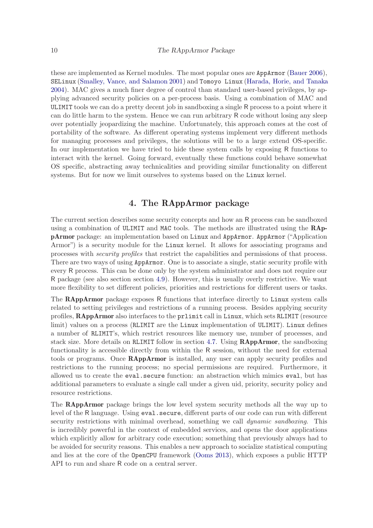<span id="page-9-0"></span>these are implemented as Kernel modules. The most popular ones are AppArmor [\(Bauer 2006\)](#page-29-0), SELinux [\(Smalley, Vance, and Salamon 2001\)](#page-30-0) and Tomoyo Linux [\(Harada, Horie, and Tanaka](#page-29-0) [2004\)](#page-29-0). MAC gives a much finer degree of control than standard user-based privileges, by applying advanced security policies on a per-process basis. Using a combination of MAC and ULIMIT tools we can do a pretty decent job in sandboxing a single R process to a point where it can do little harm to the system. Hence we can run arbitrary R code without losing any sleep over potentially jeopardizing the machine. Unfortunately, this approach comes at the cost of portability of the software. As different operating systems implement very different methods for managing processes and privileges, the solutions will be to a large extend OS-specific. In our implementation we have tried to hide these system calls by exposing R functions to interact with the kernel. Going forward, eventually these functions could behave somewhat OS specific, abstracting away technicalities and providing similar functionality on different systems. But for now we limit ourselves to systems based on the Linux kernel.

# 4. The RAppArmor package

The current section describes some security concepts and how an R process can be sandboxed using a combination of ULIMIT and MAC tools. The methods are illustrated using the RAppArmor package: an implementation based on Linux and AppArmor. AppArmor ("Application Armor") is a security module for the Linux kernel. It allows for associating programs and processes with security profiles that restrict the capabilities and permissions of that process. There are two ways of using AppArmor. One is to associate a single, static security profile with every R process. This can be done only by the system administrator and does not require our R package (see also section section [4.9\)](#page-17-0). However, this is usually overly restrictive. We want more flexibility to set different policies, priorities and restrictions for different users or tasks.

The **RAppArmor** package exposes R functions that interface directly to Linux system calls related to setting privileges and restrictions of a running process. Besides applying security profiles, RAppArmor also interfaces to the prlimit call in Linux, which sets RLIMIT (resource limit) values on a process (RLIMIT are the Linux implementation of ULIMIT). Linux defines a number of RLIMIT's, which restrict resources like memory use, number of processes, and stack size. More details on RLIMIT follow in section [4.7.](#page-13-0) Using RAppArmor, the sandboxing functionality is accessible directly from within the R session, without the need for external tools or programs. Once RAppArmor is installed, any user can apply security profiles and restrictions to the running process; no special permissions are required. Furthermore, it allowed us to create the eval.secure function: an abstraction which mimics eval, but has additional parameters to evaluate a single call under a given uid, priority, security policy and resource restrictions.

The RAppArmor package brings the low level system security methods all the way up to level of the R language. Using eval.secure, different parts of our code can run with different security restrictions with minimal overhead, something we call *dynamic sandboxing*. This is incredibly powerful in the context of embedded services, and opens the door applications which explicitly allow for arbitrary code execution; something that previously always had to be avoided for security reasons. This enables a new approach to socialize statistical computing and lies at the core of the OpenCPU framework [\(Ooms 2013](#page-30-0)), which exposes a public HTTP API to run and share R code on a central server.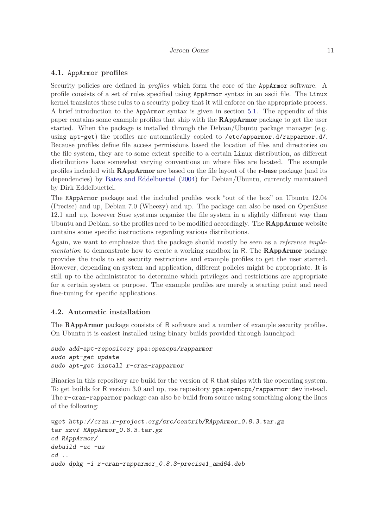### 4.1. AppArmor profiles

Security policies are defined in *profiles* which form the core of the AppArmor software. A profile consists of a set of rules specified using AppArmor syntax in an ascii file. The Linux kernel translates these rules to a security policy that it will enforce on the appropriate process. A brief introduction to the AppArmor syntax is given in section [5.1.](#page-19-0) The appendix of this paper contains some example profiles that ship with the RAppArmor package to get the user started. When the package is installed through the Debian/Ubuntu package manager (e.g. using apt-get) the profiles are automatically copied to /etc/apparmor.d/rapparmor.d/. Because profiles define file access permissions based the location of files and directories on the file system, they are to some extent specific to a certain Linux distribution, as different distributions have somewhat varying conventions on where files are located. The example profiles included with RAppArmor are based on the file layout of the r-base package (and its dependencies) by [Bates and Eddelbuettel](#page-28-0) [\(2004](#page-28-0)) for Debian/Ubuntu, currently maintained by Dirk Eddelbuettel.

The RAppArmor package and the included profiles work "out of the box" on Ubuntu 12.04 (Precise) and up, Debian 7.0 (Wheezy) and up. The package can also be used on OpenSuse 12.1 and up, however Suse systems organize the file system in a slightly different way than Ubuntu and Debian, so the profiles need to be modified accordingly. The **RAppArmor** website contains some specific instructions regarding various distributions.

Again, we want to emphasize that the package should mostly be seen as a reference implementation to demonstrate how to create a working sandbox in R. The **RAppArmor** package provides the tools to set security restrictions and example profiles to get the user started. However, depending on system and application, different policies might be appropriate. It is still up to the administrator to determine which privileges and restrictions are appropriate for a certain system or purpose. The example profiles are merely a starting point and need fine-tuning for specific applications.

### 4.2. Automatic installation

The **RAppArmor** package consists of R software and a number of example security profiles. On Ubuntu it is easiest installed using binary builds provided through launchpad:

```
sudo add-apt-repository ppa:opencpu/rapparmor
sudo apt-get update
sudo apt-get install r-cran-rapparmor
```
Binaries in this repository are build for the version of R that ships with the operating system. To get builds for R version 3.0 and up, use repository ppa:opencpu/rapparmor-dev instead. The r-cran-rapparmor package can also be build from source using something along the lines of the following:

```
wget http://cran.r-project.org/src/contrib/RAppArmor_0.8.3.tar.gz
tar xzvf RAppArmor_0.8.3.tar.gz
cd RAppArmor/
debuild -uc -us
cd ..
sudo dpkg -i r-cran-rapparmor_0.8.3-precise1_amd64.deb
```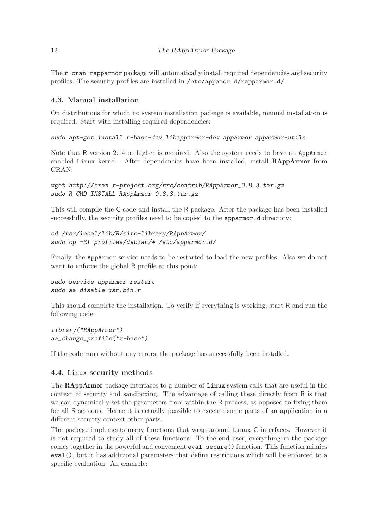The r-cran-rapparmor package will automatically install required dependencies and security profiles. The security profiles are installed in /etc/appamor.d/rapparmor.d/.

# 4.3. Manual installation

On distributions for which no system installation package is available, manual installation is required. Start with installing required dependencies:

```
sudo apt-get install r-base-dev libapparmor-dev apparmor apparmor-utils
```
Note that R version 2.14 or higher is required. Also the system needs to have an AppArmor enabled Linux kernel. After dependencies have been installed, install RAppArmor from CRAN:

```
wget http://cran.r-project.org/src/contrib/RAppArmor_0.8.3.tar.gz
sudo R CMD INSTALL RAppArmor_0.8.3.tar.gz
```
This will compile the C code and install the R package. After the package has been installed successfully, the security profiles need to be copied to the apparmor.d directory:

```
cd /usr/local/lib/R/site-library/RAppArmor/
sudo cp -Rf profiles/debian/* /etc/apparmor.d/
```
Finally, the AppArmor service needs to be restarted to load the new profiles. Also we do not want to enforce the global R profile at this point:

```
sudo service apparmor restart
sudo aa-disable usr.bin.r
```
This should complete the installation. To verify if everything is working, start R and run the following code:

```
library("RAppArmor")
aa_change_profile("r-base")
```
If the code runs without any errors, the package has successfully been installed.

# 4.4. Linux security methods

The RAppArmor package interfaces to a number of Linux system calls that are useful in the context of security and sandboxing. The advantage of calling these directly from R is that we can dynamically set the parameters from within the R process, as opposed to fixing them for all R sessions. Hence it is actually possible to execute some parts of an application in a different security context other parts.

The package implements many functions that wrap around Linux C interfaces. However it is not required to study all of these functions. To the end user, everything in the package comes together in the powerful and convenient eval.secure() function. This function mimics eval(), but it has additional parameters that define restrictions which will be enforced to a specific evaluation. An example: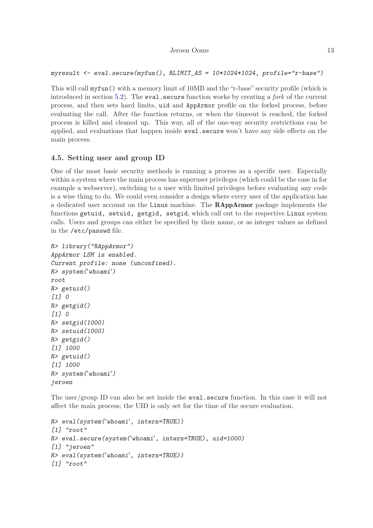```
myresult <- eval.secure(myfun(), RLIMIT_AS = 10*1024*1024, profile="r-base")
```
This will call myfun() with a memory limit of 10MB and the "r-base" security profile (which is introduced in section [5.2\)](#page-19-0). The eval.secure function works by creating a *fork* of the current process, and then sets hard limits, uid and AppArmor profile on the forked process, before evaluating the call. After the function returns, or when the timeout is reached, the forked process is killed and cleaned up. This way, all of the one-way security restrictions can be applied, and evaluations that happen inside eval.secure won't have any side effects on the main process.

### 4.5. Setting user and group ID

One of the most basic security methods is running a process as a specific user. Especially within a system where the main process has superuser privileges (which could be the case in for example a webserver), switching to a user with limited privileges before evaluating any code is a wise thing to do. We could even consider a design where every user of the application has a dedicated user account on the Linux machine. The RAppArmor package implements the functions getuid, setuid, getgid, setgid, which call out to the respective Linux system calls. Users and groups can either be specified by their name, or as integer values as defined in the /etc/passwd file.

```
R> library("RAppArmor")
AppArmor LSM is enabled.
Current profile: none (unconfined).
R> system('whoami')
root
R> getuid()
[1] 0
R> getgid()
[1] 0
R> setgid(1000)
R> setuid(1000)
R> getgid()
[1] 1000
R> getuid()
[1] 1000
R> system('whoami')
jeroen
```
The user/group ID can also be set inside the eval.secure function. In this case it will not affect the main process; the UID is only set for the time of the secure evaluation.

```
R> eval(system('whoami', intern=TRUE))
[1] "root"
R> eval.secure(system('whoami', intern=TRUE), uid=1000)
[1] "jeroen"
R> eval(system('whoami', intern=TRUE))
[1] "root"
```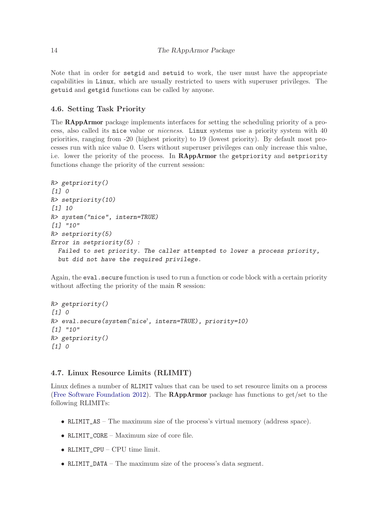<span id="page-13-0"></span>Note that in order for setgid and setuid to work, the user must have the appropriate capabilities in Linux, which are usually restricted to users with superuser privileges. The getuid and getgid functions can be called by anyone.

### 4.6. Setting Task Priority

The RAppArmor package implements interfaces for setting the scheduling priority of a process, also called its nice value or niceness. Linux systems use a priority system with 40 priorities, ranging from -20 (highest priority) to 19 (lowest priority). By default most processes run with nice value 0. Users without superuser privileges can only increase this value, i.e. lower the priority of the process. In RAppArmor the getpriority and setpriority functions change the priority of the current session:

```
R> getpriority()
[1] 0
R> setpriority(10)
[1] 10
R> system("nice", intern=TRUE)
[1] "10"
R> setpriority(5)
Error in setpriority(5) :
  Failed to set priority. The caller attempted to lower a process priority,
  but did not have the required privilege.
```
Again, the eval.secure function is used to run a function or code block with a certain priority without affecting the priority of the main R session:

```
R> getpriority()
[1] 0
R> eval.secure(system('nice', intern=TRUE), priority=10)
[1] "10"
R> getpriority()
[1] 0
```
# 4.7. Linux Resource Limits (RLIMIT)

Linux defines a number of RLIMIT values that can be used to set resource limits on a process [\(Free Software Foundation 2012](#page-29-0)). The RAppArmor package has functions to get/set to the following RLIMITs:

- RLIMIT\_AS The maximum size of the process's virtual memory (address space).
- RLIMIT\_CORE Maximum size of core file.
- RLIMIT\_CPU CPU time limit.
- RLIMIT\_DATA The maximum size of the process's data segment.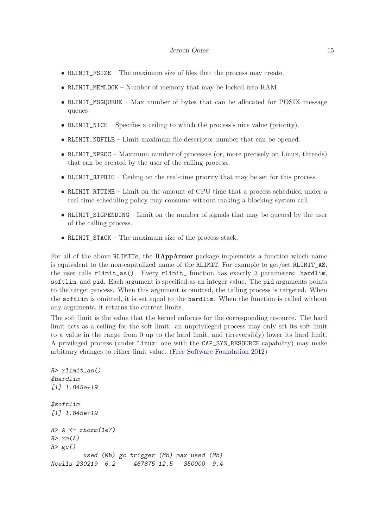#### Jeroen Ooms 15

- RLIMIT\_FSIZE The maximum size of files that the process may create.
- RLIMIT\_MEMLOCK Number of memory that may be locked into RAM.
- RLIMIT\_MSGQUEUE Max number of bytes that can be allocated for POSIX message queues
- RLIMIT\_NICE Specifies a ceiling to which the process's nice value (priority).
- RLIMIT\_NOFILE Limit maximum file descriptor number that can be opened.
- RLIMIT\_NPROC Maximum number of processes (or, more precisely on Linux, threads) that can be created by the user of the calling process.
- RLIMIT\_RTPRIO Ceiling on the real-time priority that may be set for this process.
- RLIMIT\_RTTIME Limit on the amount of CPU time that a process scheduled under a real-time scheduling policy may consume without making a blocking system call.
- RLIMIT\_SIGPENDING Limit on the number of signals that may be queued by the user of the calling process.
- RLIMIT\_STACK The maximum size of the process stack.

For all of the above RLIMITs, the RAppArmor package implements a function which name is equivalent to the non-capitalized name of the RLIMIT. For example to get/set RLIMIT\_AS, the user calls rlimit\_as(). Every rlimit\_ function has exactly 3 parameters: hardlim, softlim, and pid. Each argument is specified as an integer value. The pid arguments points to the target process. When this argument is omitted, the calling process is targeted. When the softlim is omitted, it is set equal to the hardlim. When the function is called without any arguments, it returns the current limits.

The soft limit is the value that the kernel enforces for the corresponding resource. The hard limit acts as a ceiling for the soft limit: an unprivileged process may only set its soft limit to a value in the range from 0 up to the hard limit, and (irreversibly) lower its hard limit. A privileged process (under Linux: one with the CAP\_SYS\_RESOURCE capability) may make arbitrary changes to either limit value. [\(Free Software Foundation 2012](#page-29-0))

```
R> rlimit_as()
$hardlim
[1] 1.845e+19
$softlim
[1] 1.845e+19
R> A <- rnorm(1e7)
R> rm(A)
R> gc()
        used (Mb) gc trigger (Mb) max used (Mb)
Ncells 230219 6.2 467875 12.5 350000 9.4
```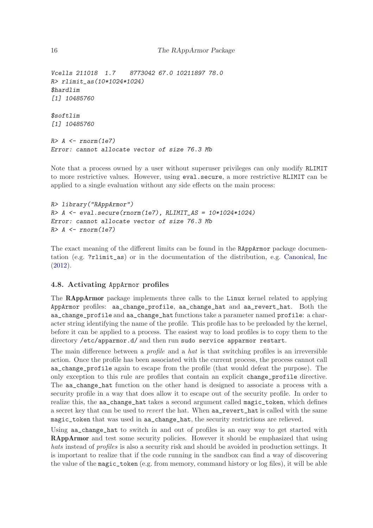### 16 The RAppArmor Package

*Vcells 211018 1.7 8773042 67.0 10211897 78.0 R> rlimit\_as(10\*1024\*1024) \$hardlim [1] 10485760*

*\$softlim [1] 10485760*

*R> A <- rnorm(1e7) Error: cannot allocate vector of size 76.3 Mb*

Note that a process owned by a user without superuser privileges can only modify RLIMIT to more restrictive values. However, using eval.secure, a more restrictive RLIMIT can be applied to a single evaluation without any side effects on the main process:

```
R> library("RAppArmor")
R> A <- eval.secure(rnorm(1e7), RLIMIT_AS = 10*1024*1024)
Error: cannot allocate vector of size 76.3 Mb
R> A <- rnorm(1e7)
```
The exact meaning of the different limits can be found in the RAppArmor package documentation (e.g. ?rlimit\_as) or in the documentation of the distribution, e.g. [Canonical, Inc](#page-29-0) [\(2012](#page-29-0)).

### 4.8. Activating AppArmor profiles

The RAppArmor package implements three calls to the Linux kernel related to applying AppArmor profiles: aa\_change\_profile, aa\_change\_hat and aa\_revert\_hat. Both the aa\_change\_profile and aa\_change\_hat functions take a parameter named profile: a character string identifying the name of the profile. This profile has to be preloaded by the kernel, before it can be applied to a process. The easiest way to load profiles is to copy them to the directory /etc/apparmor.d/ and then run sudo service apparmor restart.

The main difference between a *profile* and a hat is that switching profiles is an irreversible action. Once the profile has been associated with the current process, the process cannot call aa\_change\_profile again to escape from the profile (that would defeat the purpose). The only exception to this rule are profiles that contain an explicit change\_profile directive. The aa\_change\_hat function on the other hand is designed to associate a process with a security profile in a way that does allow it to escape out of the security profile. In order to realize this, the aa\_change\_hat takes a second argument called magic\_token, which defines a secret key that can be used to revert the hat. When aa\_revert\_hat is called with the same magic\_token that was used in aa\_change\_hat, the security restrictions are relieved.

Using aa\_change\_hat to switch in and out of profiles is an easy way to get started with RAppArmor and test some security policies. However it should be emphasized that using hats instead of profiles is also a security risk and should be avoided in production settings. It is important to realize that if the code running in the sandbox can find a way of discovering the value of the magic\_token (e.g. from memory, command history or log files), it will be able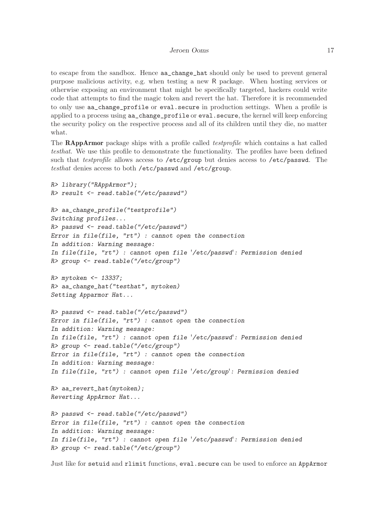to escape from the sandbox. Hence aa\_change\_hat should only be used to prevent general purpose malicious activity, e.g. when testing a new R package. When hosting services or otherwise exposing an environment that might be specifically targeted, hackers could write code that attempts to find the magic token and revert the hat. Therefore it is recommended to only use aa change profile or eval. secure in production settings. When a profile is applied to a process using aa\_change\_profile or eval.secure, the kernel will keep enforcing the security policy on the respective process and all of its children until they die, no matter what.

The RAppArmor package ships with a profile called *testprofile* which contains a hat called testhat. We use this profile to demonstrate the functionality. The profiles have been defined such that *testprofile* allows access to /etc/group but denies access to /etc/passwd. The testhat denies access to both /etc/passwd and /etc/group.

```
R> library("RAppArmor");
R> result <- read.table("/etc/passwd")
R> aa_change_profile("testprofile")
Switching profiles...
R> passwd <- read.table("/etc/passwd")
Error in file(file, "rt") : cannot open the connection
In addition: Warning message:
In file(file, "rt") : cannot open file '/etc/passwd': Permission denied
R> group <- read.table("/etc/group")
R> mytoken <- 13337;
R> aa_change_hat("testhat", mytoken)
Setting Apparmor Hat...
R> passwd <- read.table("/etc/passwd")
Error in file(file, "rt") : cannot open the connection
In addition: Warning message:
In file(file, "rt") : cannot open file '/etc/passwd': Permission denied
R> group <- read.table("/etc/group")
Error in file(file, "rt") : cannot open the connection
In addition: Warning message:
In file(file, "rt") : cannot open file '/etc/group': Permission denied
R> aa_revert_hat(mytoken);
Reverting AppArmor Hat...
R> passwd <- read.table("/etc/passwd")
Error in file(file, "rt") : cannot open the connection
In addition: Warning message:
In file(file, "rt") : cannot open file '/etc/passwd': Permission denied
R> group <- read.table("/etc/group")
```
Just like for setuid and rlimit functions, eval.secure can be used to enforce an AppArmor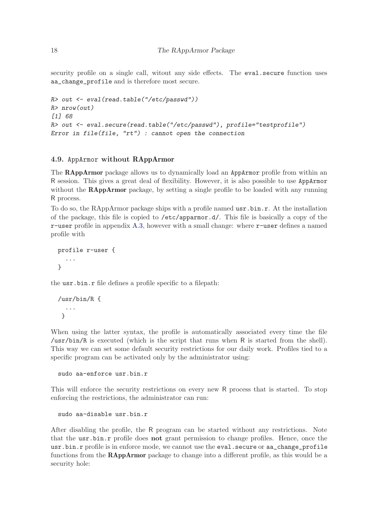<span id="page-17-0"></span>security profile on a single call, witout any side effects. The eval.secure function uses aa\_change\_profile and is therefore most secure.

```
R> out <- eval(read.table("/etc/passwd"))
R> nrow(out)
[1] 68
R> out <- eval.secure(read.table("/etc/passwd"), profile="testprofile")
Error in file(file, "rt") : cannot open the connection
```
#### 4.9. AppArmor without RAppArmor

The RAppArmor package allows us to dynamically load an AppArmor profile from within an R session. This gives a great deal of flexibility. However, it is also possible to use AppArmor without the **RAppArmor** package, by setting a single profile to be loaded with any running R process.

To do so, the RAppArmor package ships with a profile named usr.bin.r. At the installation of the package, this file is copied to /etc/apparmor.d/. This file is basically a copy of the r-user profile in appendix [A.3,](#page-24-0) however with a small change: where r-user defines a named profile with

```
profile r-user {
  ...
}
```
the usr.bin.r file defines a profile specific to a filepath:

```
/usr/bin/R {
  ...
 }
```
When using the latter syntax, the profile is automatically associated every time the file /usr/bin/R is executed (which is the script that runs when R is started from the shell). This way we can set some default security restrictions for our daily work. Profiles tied to a specific program can be activated only by the administrator using:

```
sudo aa-enforce usr.bin.r
```
This will enforce the security restrictions on every new R process that is started. To stop enforcing the restrictions, the administrator can run:

```
sudo aa-disable usr.bin.r
```
After disabling the profile, the R program can be started without any restrictions. Note that the usr.bin.r profile does not grant permission to change profiles. Hence, once the usr.bin.r profile is in enforce mode, we cannot use the eval.secure or aa\_change\_profile functions from the RAppArmor package to change into a different profile, as this would be a security hole: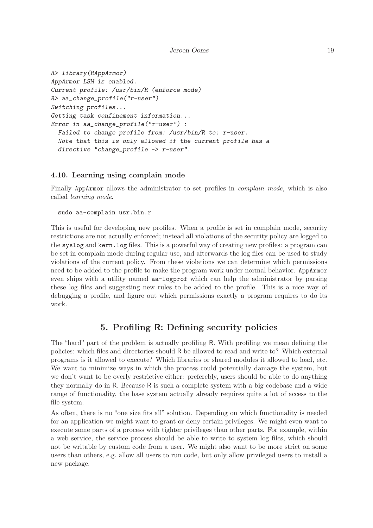#### Jeroen Ooms 19

```
R> library(RAppArmor)
AppArmor LSM is enabled.
Current profile: /usr/bin/R (enforce mode)
R> aa_change_profile("r-user")
Switching profiles...
Getting task confinement information...
Error in aa_change_profile("r-user") :
 Failed to change profile from: /usr/bin/R to: r-user.
 Note that this is only allowed if the current profile has a
 directive "change_profile -> r-user".
```
### 4.10. Learning using complain mode

Finally AppArmor allows the administrator to set profiles in *complain mode*, which is also called learning mode.

#### sudo aa-complain usr.bin.r

This is useful for developing new profiles. When a profile is set in complain mode, security restrictions are not actually enforced; instead all violations of the security policy are logged to the syslog and kern.log files. This is a powerful way of creating new profiles: a program can be set in complain mode during regular use, and afterwards the log files can be used to study violations of the current policy. From these violations we can determine which permissions need to be added to the profile to make the program work under normal behavior. AppArmor even ships with a utility named aa-logprof which can help the administrator by parsing these log files and suggesting new rules to be added to the profile. This is a nice way of debugging a profile, and figure out which permissions exactly a program requires to do its work.

# 5. Profiling R: Defining security policies

The "hard" part of the problem is actually profiling R. With profiling we mean defining the policies: which files and directories should R be allowed to read and write to? Which external programs is it allowed to execute? Which libraries or shared modules it allowed to load, etc. We want to minimize ways in which the process could potentially damage the system, but we don't want to be overly restrictive either: preferebly, users should be able to do anything they normally do in R. Because R is such a complete system with a big codebase and a wide range of functionality, the base system actually already requires quite a lot of access to the file system.

As often, there is no "one size fits all" solution. Depending on which functionality is needed for an application we might want to grant or deny certain privileges. We might even want to execute some parts of a process with tighter privileges than other parts. For example, within a web service, the service process should be able to write to system log files, which should not be writable by custom code from a user. We might also want to be more strict on some users than others, e.g. allow all users to run code, but only allow privileged users to install a new package.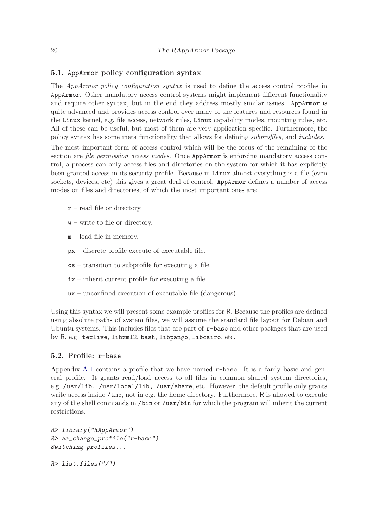### <span id="page-19-0"></span>5.1. AppArmor policy configuration syntax

The *AppArmor policy configuration syntax* is used to define the access control profiles in AppArmor. Other mandatory access control systems might implement different functionality and require other syntax, but in the end they address mostly similar issues. AppArmor is quite advanced and provides access control over many of the features and resources found in the Linux kernel, e.g. file access, network rules, Linux capability modes, mounting rules, etc. All of these can be useful, but most of them are very application specific. Furthermore, the policy syntax has some meta functionality that allows for defining subprofiles, and includes.

The most important form of access control which will be the focus of the remaining of the section are *file permission access modes*. Once AppArmor is enforcing mandatory access control, a process can only access files and directories on the system for which it has explicitly been granted access in its security profile. Because in Linux almost everything is a file (even sockets, devices, etc) this gives a great deal of control. AppArmor defines a number of access modes on files and directories, of which the most important ones are:

- $r$  read file or directory.
- $w$  write to file or directory.
- m load file in memory.
- px discrete profile execute of executable file.
- cs transition to subprofile for executing a file.
- ix inherit current profile for executing a file.
- ux unconfined execution of executable file (dangerous).

Using this syntax we will present some example profiles for R. Because the profiles are defined using absolute paths of system files, we will assume the standard file layout for Debian and Ubuntu systems. This includes files that are part of r-base and other packages that are used by R, e.g. texlive, libxml2, bash, libpango, libcairo, etc.

### 5.2. Profile: r-base

Appendix [A.1](#page-23-0) contains a profile that we have named r-base. It is a fairly basic and general profile. It grants read/load access to all files in common shared system directories, e.g. /usr/lib, /usr/local/lib, /usr/share, etc. However, the default profile only grants write access inside /tmp, not in e.g. the home directory. Furthermore, R is allowed to execute any of the shell commands in /bin or /usr/bin for which the program will inherit the current restrictions.

```
R> library("RAppArmor")
R> aa_change_profile("r-base")
Switching profiles...
```
*R> list.files("/")*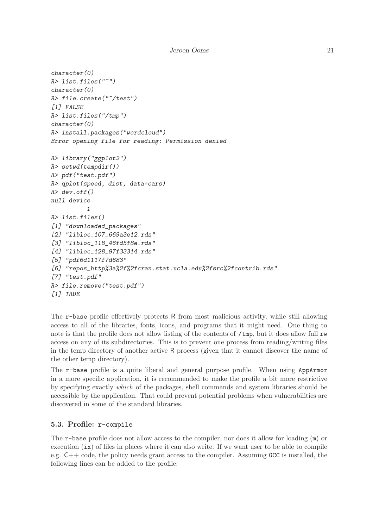```
character(0)
R> list.files("~")
character(0)
R> file.create("~/test")
[1] FALSE
R> list.files("/tmp")
character(0)
R> install.packages("wordcloud")
Error opening file for reading: Permission denied
R> library("ggplot2")
R> setwd(tempdir())
R> pdf("test.pdf")
R> qplot(speed, dist, data=cars)
R> dev.off()
null device
          1
R> list.files()
[1] "downloaded_packages"
[2] "libloc_107_669a3e12.rds"
[3] "libloc_118_46fd5f8e.rds"
[4] "libloc_128_97f33314.rds"
[5] "pdf6d1117f7d683"
[6] "repos_http%3a%2f%2fcran.stat.ucla.edu%2fsrc%2fcontrib.rds"
[7] "test.pdf"
R> file.remove("test.pdf")
[1] TRUE
```
The r-base profile effectively protects R from most malicious activity, while still allowing access to all of the libraries, fonts, icons, and programs that it might need. One thing to note is that the profile does not allow listing of the contents of  $/\text{tmp}$ , but it does allow full rw access on any of its subdirectories. This is to prevent one process from reading/writing files in the temp directory of another active R process (given that it cannot discover the name of the other temp directory).

The r-base profile is a quite liberal and general purpose profile. When using AppArmor in a more specific application, it is recommended to make the profile a bit more restrictive by specifying exactly which of the packages, shell commands and system libraries should be accessible by the application. That could prevent potential problems when vulnerabilities are discovered in some of the standard libraries.

### 5.3. Profile: r-compile

The r-base profile does not allow access to the compiler, nor does it allow for loading (m) or execution  $(ix)$  of files in places where it can also write. If we want user to be able to compile e.g.  $C++$  code, the policy needs grant access to the compiler. Assuming GCC is installed, the following lines can be added to the profile: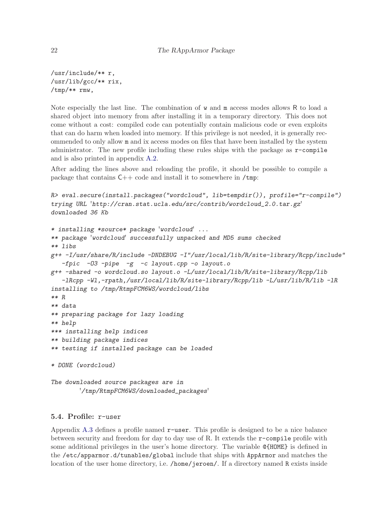/usr/include/\*\* r, /usr/lib/gcc/\*\* rix, /tmp/\*\* rmw,

Note especially the last line. The combination of w and m access modes allows R to load a shared object into memory from after installing it in a temporary directory. This does not come without a cost: compiled code can potentially contain malicious code or even exploits that can do harm when loaded into memory. If this privilege is not needed, it is generally recommended to only allow m and ix access modes on files that have been installed by the system administrator. The new profile including these rules ships with the package as  $r$ -compile and is also printed in appendix [A.2.](#page-24-0)

After adding the lines above and reloading the profile, it should be possible to compile a package that contains  $C_{++}$  code and install it to somewhere in /tmp:

```
R> eval.secure(install.packages("wordcloud", lib=tempdir()), profile="r-compile")
trying URL 'http://cran.stat.ucla.edu/src/contrib/wordcloud_2.0.tar.gz'
downloaded 36 Kb
```

```
* installing *source* package 'wordcloud' ...
** package 'wordcloud' successfully unpacked and MD5 sums checked
** libs
g++ -I/usr/share/R/include -DNDEBUG -I"/usr/local/lib/R/site-library/Rcpp/include"
   -fpic -O3 -pipe -g -c layout.cpp -o layout.o
g++ -shared -o wordcloud.so layout.o -L/usr/local/lib/R/site-library/Rcpp/lib
   -lRcpp -Wl,-rpath,/usr/local/lib/R/site-library/Rcpp/lib -L/usr/lib/R/lib -lR
installing to /tmp/RtmpFCM6WS/wordcloud/libs
** R
** data
** preparing package for lazy loading
** help
*** installing help indices
** building package indices
** testing if installed package can be loaded
* DONE (wordcloud)
The downloaded source packages are in
        '/tmp/RtmpFCM6WS/downloaded_packages'
```
### 5.4. Profile: r-user

Appendix [A.3](#page-24-0) defines a profile named  $r$ -user. This profile is designed to be a nice balance between security and freedom for day to day use of R. It extends the r-compile profile with some additional privileges in the user's home directory. The variable @{HOME} is defined in the /etc/apparmor.d/tunables/global include that ships with AppArmor and matches the location of the user home directory, i.e. /home/jeroen/. If a directory named R exists inside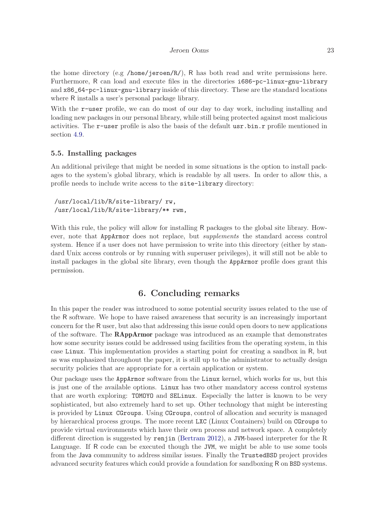the home directory (e.g /home/jeroen/R/), R has both read and write permissions here. Furthermore, R can load and execute files in the directories i686-pc-linux-gnu-library and x86\_64-pc-linux-gnu-library inside of this directory. These are the standard locations where R installs a user's personal package library.

With the r-user profile, we can do most of our day to day work, including installing and loading new packages in our personal library, while still being protected against most malicious activities. The r-user profile is also the basis of the default usr.bin.r profile mentioned in section [4.9.](#page-17-0)

#### 5.5. Installing packages

An additional privilege that might be needed in some situations is the option to install packages to the system's global library, which is readable by all users. In order to allow this, a profile needs to include write access to the site-library directory:

/usr/local/lib/R/site-library/ rw, /usr/local/lib/R/site-library/\*\* rwm,

With this rule, the policy will allow for installing R packages to the global site library. However, note that AppArmor does not replace, but *supplements* the standard access control system. Hence if a user does not have permission to write into this directory (either by standard Unix access controls or by running with superuser privileges), it will still not be able to install packages in the global site library, even though the AppArmor profile does grant this permission.

## 6. Concluding remarks

In this paper the reader was introduced to some potential security issues related to the use of the R software. We hope to have raised awareness that security is an increasingly important concern for the R user, but also that addressing this issue could open doors to new applications of the software. The RAppArmor package was introduced as an example that demonstrates how some security issues could be addressed using facilities from the operating system, in this case Linux. This implementation provides a starting point for creating a sandbox in R, but as was emphasized throughout the paper, it is still up to the administrator to actually design security policies that are appropriate for a certain application or system.

Our package uses the AppArmor software from the Linux kernel, which works for us, but this is just one of the available options. Linux has two other mandatory access control systems that are worth exploring: TOMOYO and SELinux. Especially the latter is known to be very sophisticated, but also extremely hard to set up. Other technology that might be interesting is provided by Linux CGroups. Using CGroups, control of allocation and security is managed by hierarchical process groups. The more recent LXC (Linux Containers) build on CGroups to provide virtual environments which have their own process and network space. A completely different direction is suggested by renjin [\(Bertram 2012\)](#page-29-0), a JVM-based interpreter for the R Language. If R code can be executed though the JVM, we might be able to use some tools from the Java community to address similar issues. Finally the TrustedBSD project provides advanced security features which could provide a foundation for sandboxing R on BSD systems.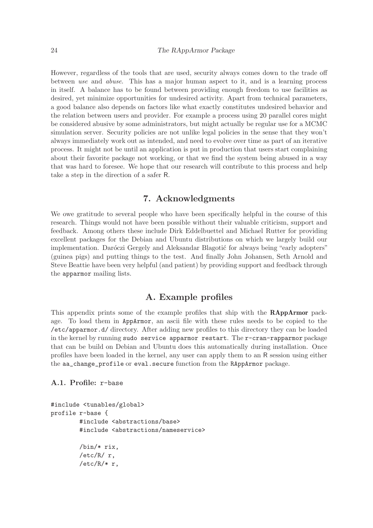<span id="page-23-0"></span>However, regardless of the tools that are used, security always comes down to the trade off between use and abuse. This has a major human aspect to it, and is a learning process in itself. A balance has to be found between providing enough freedom to use facilities as desired, yet minimize opportunities for undesired activity. Apart from technical parameters, a good balance also depends on factors like what exactly constitutes undesired behavior and the relation between users and provider. For example a process using 20 parallel cores might be considered abusive by some administrators, but might actually be regular use for a MCMC simulation server. Security policies are not unlike legal policies in the sense that they won't always immediately work out as intended, and need to evolve over time as part of an iterative process. It might not be until an application is put in production that users start complaining about their favorite package not working, or that we find the system being abused in a way that was hard to foresee. We hope that our research will contribute to this process and help take a step in the direction of a safer R.

# 7. Acknowledgments

We owe gratitude to several people who have been specifically helpful in the course of this research. Things would not have been possible without their valuable criticism, support and feedback. Among others these include Dirk Eddelbuettel and Michael Rutter for providing excellent packages for the Debian and Ubuntu distributions on which we largely build our implementation. Daróczi Gergely and Aleksandar Blagotić for always being "early adopters" (guinea pigs) and putting things to the test. And finally John Johansen, Seth Arnold and Steve Beattie have been very helpful (and patient) by providing support and feedback through the apparmor mailing lists.

# A. Example profiles

This appendix prints some of the example profiles that ship with the RAppArmor package. To load them in AppArmor, an ascii file with these rules needs to be copied to the /etc/apparmor.d/ directory. After adding new profiles to this directory they can be loaded in the kernel by running sudo service apparmor restart. The r-cran-rapparmor package that can be build on Debian and Ubuntu does this automatically during installation. Once profiles have been loaded in the kernel, any user can apply them to an R session using either the aa\_change\_profile or eval.secure function from the RAppArmor package.

### A.1. Profile: r-base

```
#include <tunables/global>
profile r-base {
        #include <abstractions/base>
        #include <abstractions/nameservice>
        /bin/* rix,
        /etc/R/ r,
        /etc/R/* r,
```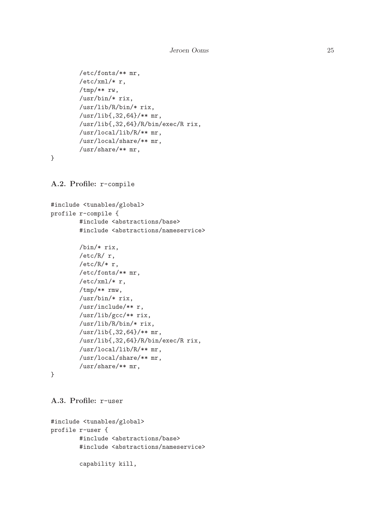Jeroen Ooms 25

```
/etc/fonts/** mr,
/etc/xml/* r,
/tmp/** rw,
/usr/bin/* rix,
/usr/lib/R/bin/* rix,
/usr/lib{,32,64}/** mr,
/usr/lib{,32,64}/R/bin/exec/R rix,
/usr/local/lib/R/** mr,
/usr/local/share/** mr,
/usr/share/** mr,
```
A.2. Profile: r-compile

```
#include <tunables/global>
profile r-compile {
        #include <abstractions/base>
        #include <abstractions/nameservice>
        /bin/* rix,
        /etc/R/ r,
        /etc/R/* r,
        /etc/fonts/** mr,
        /etc/xml/* r,
        /tmp/** rmw,
        /usr/bin/* rix,
        /usr/include/** r,
        /usr/lib/gcc/** rix,
        /usr/lib/R/bin/* rix,
        /usr/lib{,32,64}/** mr,
        /usr/lib{,32,64}/R/bin/exec/R rix,
        /usr/local/lib/R/** mr,
        /usr/local/share/** mr,
        /usr/share/** mr,
```

```
}
```
}

```
A.3. Profile: r-user
```

```
#include <tunables/global>
profile r-user {
        #include <abstractions/base>
        #include <abstractions/nameservice>
        capability kill,
```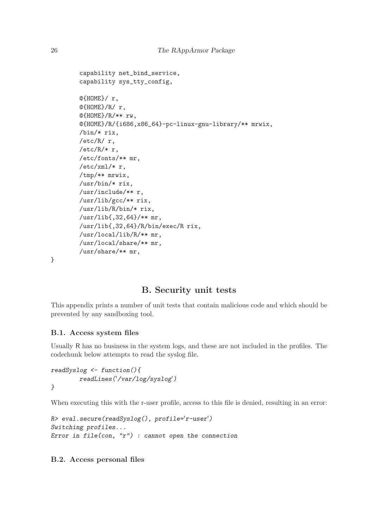```
capability net_bind_service,
capability sys_tty_config,
@{HOME}/ r,
@{HOME}/R/ r,
@{HOME}/R/** rw,
\mathcal{O}\{\text{HOME}\}/R/\{\text{i}686,\text{x}86\_64\}-pc-linux-gnu-library/** mrwix,
/bin/* rix,
/etc/R/ r,
/etc/R/* r,
/etc/fonts/** mr,
/etc/xml/* r,
/tmp/** mrwix,
/usr/bin/* rix,
/usr/include/** r,
/usr/lib/gcc/** rix,
/usr/lib/R/bin/* rix,
/usr/lib{,32,64}/** mr,
/usr/lib{,32,64}/R/bin/exec/R rix,
/usr/local/lib/R/** mr,
/usr/local/share/** mr,
/usr/share/** mr,
```
}

# B. Security unit tests

This appendix prints a number of unit tests that contain malicious code and which should be prevented by any sandboxing tool.

### B.1. Access system files

Usually R has no business in the system logs, and these are not included in the profiles. The codechunk below attempts to read the syslog file.

```
readSyslog <- function(){
        readLines('/var/log/syslog')
}
```
When executing this with the r-user profile, access to this file is denied, resulting in an error:

```
R> eval.secure(readSyslog(), profile='r-user')
Switching profiles...
Error in file(con, "r") : cannot open the connection
```
B.2. Access personal files

<span id="page-25-0"></span>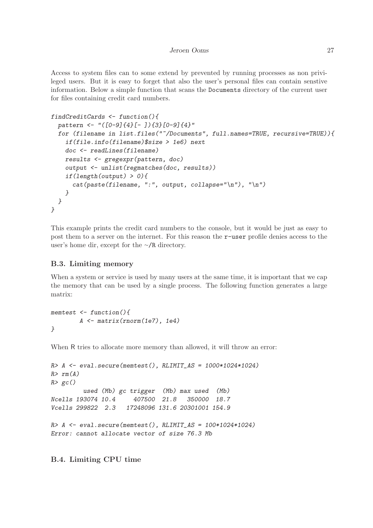<span id="page-26-0"></span>Access to system files can to some extend by prevented by running processes as non privileged users. But it is easy to forget that also the user's personal files can contain senstive information. Below a simple function that scans the Documents directory of the current user for files containing credit card numbers.

```
findCreditCards <- function(){
 pattern <- "([0-9]{4}[- ]){3}[0-9]{4}"
 for (filename in list.files("~/Documents", full.names=TRUE, recursive=TRUE)){
    if(file.info(filename)$size > 1e6) next
   doc <- readLines(filename)
   results <- gregexpr(pattern, doc)
   output <- unlist(regmatches(doc, results))
   if(length(output) > 0){
     cat(paste(filename, ":", output, collapse="\n"), "\n")
   }
 }
}
```
This example prints the credit card numbers to the console, but it would be just as easy to post them to a server on the internet. For this reason the r-user profile denies access to the user's home dir, except for the <sup>∼</sup>/R directory.

### B.3. Limiting memory

When a system or service is used by many users at the same time, it is important that we cap the memory that can be used by a single process. The following function generates a large matrix:

```
memtest <- function(){
        A <- matrix(rnorm(1e7), 1e4)
}
```
When R tries to allocate more memory than allowed, it will throw an error:

```
R> A <- eval.secure(memtest(), RLIMIT_AS = 1000*1024*1024)
R> rm(A)
R> gc()
         used (Mb) gc trigger (Mb) max used (Mb)
Ncells 193074 10.4 407500 21.8 350000 18.7
Vcells 299822 2.3 17248096 131.6 20301001 154.9
R> A <- eval.secure(memtest(), RLIMIT_AS = 100*1024*1024)
Error: cannot allocate vector of size 76.3 Mb
```
B.4. Limiting CPU time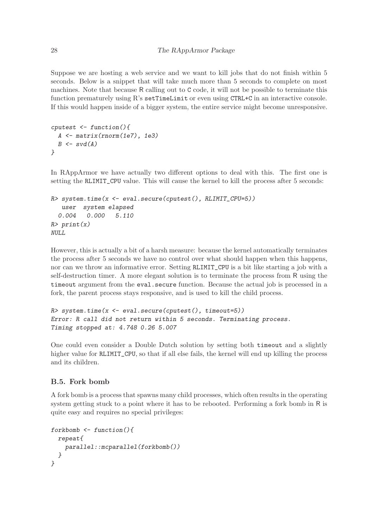Suppose we are hosting a web service and we want to kill jobs that do not finish within 5 seconds. Below is a snippet that will take much more than 5 seconds to complete on most machines. Note that because R calling out to C code, it will not be possible to terminate this function prematurely using R's setTimeLimit or even using CTRL+C in an interactive console. If this would happen inside of a bigger system, the entire service might become unresponsive.

```
cputest <- function(){
 A <- matrix(rnorm(1e7), 1e3)
 B <- svd(A)
}
```
In RAppArmor we have actually two different options to deal with this. The first one is setting the RLIMIT\_CPU value. This will cause the kernel to kill the process after 5 seconds:

```
R> system.time(x <- eval.secure(cputest(), RLIMIT_CPU=5))
  user system elapsed
 0.004 0.000 5.110
R> print(x)
NULL
```
However, this is actually a bit of a harsh measure: because the kernel automatically terminates the process after 5 seconds we have no control over what should happen when this happens, nor can we throw an informative error. Setting RLIMIT\_CPU is a bit like starting a job with a self-destruction timer. A more elegant solution is to terminate the process from R using the timeout argument from the eval.secure function. Because the actual job is processed in a fork, the parent process stays responsive, and is used to kill the child process.

```
R> system.time(x <- eval.secure(cputest(), timeout=5))
Error: R call did not return within 5 seconds. Terminating process.
Timing stopped at: 4.748 0.26 5.007
```
One could even consider a Double Dutch solution by setting both timeout and a slightly higher value for RLIMIT\_CPU, so that if all else fails, the kernel will end up killing the process and its children.

### B.5. Fork bomb

A fork bomb is a process that spawns many child processes, which often results in the operating system getting stuck to a point where it has to be rebooted. Performing a fork bomb in R is quite easy and requires no special privileges:

```
forkbomb <- function(){
 repeat{
   parallel::mcparallel(forkbomb())
 }
}
```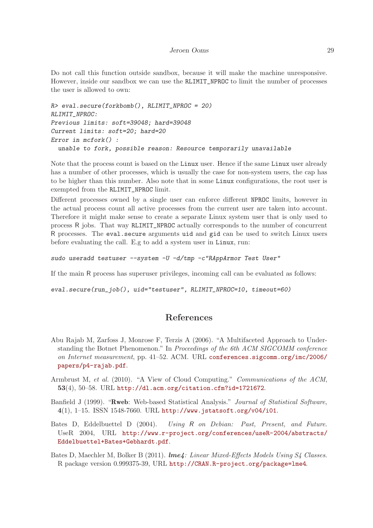<span id="page-28-0"></span>Do not call this function outside sandbox, because it will make the machine unresponsive. However, inside our sandbox we can use the RLIMIT\_NPROC to limit the number of processes the user is allowed to own:

```
R> eval.secure(forkbomb(), RLIMIT_NPROC = 20)
RLIMIT_NPROC:
Previous limits: soft=39048; hard=39048
Current limits: soft=20; hard=20
Error in mcfork() :
  unable to fork, possible reason: Resource temporarily unavailable
```
Note that the process count is based on the Linux user. Hence if the same Linux user already has a number of other processes, which is usually the case for non-system users, the cap has to be higher than this number. Also note that in some Linux configurations, the root user is exempted from the RLIMIT\_NPROC limit.

Different processes owned by a single user can enforce different NPROC limits, however in the actual process count all active processes from the current user are taken into account. Therefore it might make sense to create a separate Linux system user that is only used to process R jobs. That way RLIMIT\_NPROC actually corresponds to the number of concurrent R processes. The eval.secure arguments uid and gid can be used to switch Linux users before evaluating the call. E.g to add a system user in Linux, run:

```
sudo useradd testuser --system -U -d/tmp -c"RAppArmor Test User"
```
If the main R process has superuser privileges, incoming call can be evaluated as follows:

*eval.secure(run\_job(), uid="testuser", RLIMIT\_NPROC=10, timeout=60)*

# References

- Abu Rajab M, Zarfoss J, Monrose F, Terzis A (2006). "A Multifaceted Approach to Understanding the Botnet Phenomenon." In Proceedings of the 6th ACM SIGCOMM conference on Internet measurement, pp. 41–52. ACM. URL [conferences.sigcomm.org/imc/2006/](conferences.sigcomm.org/imc/2006/papers/p4-rajab.pdf) [papers/p4-rajab.pdf](conferences.sigcomm.org/imc/2006/papers/p4-rajab.pdf).
- Armbrust M, et al. (2010). "A View of Cloud Computing." Communications of the ACM, 53(4), 50–58. URL <http://dl.acm.org/citation.cfm?id=1721672>.
- Banfield J (1999). "Rweb: Web-based Statistical Analysis." Journal of Statistical Software, 4(1), 1–15. ISSN 1548-7660. URL <http://www.jstatsoft.org/v04/i01>.
- Bates D, Eddelbuettel D (2004). Using R on Debian: Past, Present, and Future. UseR 2004, URL [http://www.r-project.org/conferences/useR-2004/abstracts/](http://www.r-project.org/conferences/useR-2004/abstracts/Eddelbuettel+Bates+Gebhardt.pdf) [Eddelbuettel+Bates+Gebhardt.pdf](http://www.r-project.org/conferences/useR-2004/abstracts/Eddelbuettel+Bates+Gebhardt.pdf).
- Bates D, Maechler M, Bolker B (2011). lme4: Linear Mixed-Effects Models Using S4 Classes. R package version 0.999375-39, URL <http://CRAN.R-project.org/package=lme4>.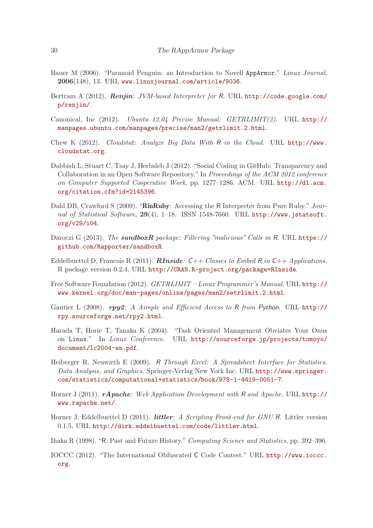- <span id="page-29-0"></span>Bauer M (2006). "Paranoid Penguin: an Introduction to Novell AppArmor." Linux Journal, 2006(148), 13. URL <www.linuxjournal.com/article/9036>.
- Bertram A (2012). Renjin: JVM-based Interpreter for R. URL [http://code.google.com/](http://code.google.com/p/renjin/) [p/renjin/](http://code.google.com/p/renjin/).
- Canonical, Inc (2012). Ubuntu 12.04 Precise Manual: GETRLIMIT(2). URL [http://](http://manpages.ubuntu.com/manpages/precise/man2/getrlimit.2.html) [manpages.ubuntu.com/manpages/precise/man2/getrlimit.2.html](http://manpages.ubuntu.com/manpages/precise/man2/getrlimit.2.html).
- Chew K (2012). Cloudstat: Analyze Big Data With R in the Cloud. URL [http://www.](http://www.cloudstat.org) [cloudstat.org](http://www.cloudstat.org).
- Dabbish L, Stuart C, Tsay J, Herbsleb J (2012). "Social Coding in GitHub: Transparency and Collaboration in an Open Software Repository." In Proceedings of the ACM 2012 conference on Computer Supported Cooperative Work, pp. 1277–1286. ACM. URL [http://dl.acm.](http://dl.acm.org/citation.cfm?id=2145396) [org/citation.cfm?id=2145396](http://dl.acm.org/citation.cfm?id=2145396).
- Dahl DB, Crawford S (2009). "RinRuby: Accessing the R Interpreter from Pure Ruby." Journal of Statistical Software, 29(4), 1–18. ISSN 1548-7660. URL [http://www.jstatsoft.](http://www.jstatsoft.org/v29/i04) [org/v29/i04](http://www.jstatsoft.org/v29/i04).
- Daroczi G (2013). The **sandboxR** package: Filtering "malicious" Calls in R. URL [https://](https://github.com/Rapporter/sandboxR) [github.com/Rapporter/sandboxR](https://github.com/Rapporter/sandboxR).
- Eddelbuettel D, Francois R (2011). **RInside:**  $C++$  Classes to Embed R in  $C++$  Applications. R package version 0.2.4, URL <http://CRAN.R-project.org/package=RInside>.
- Free Software Foundation (2012). GETRLIMIT Linux Programmer's Manual. URL [http://](http://www.kernel.org/doc/man-pages/online/pages/man2/setrlimit.2.html) [www.kernel.org/doc/man-pages/online/pages/man2/setrlimit.2.html](http://www.kernel.org/doc/man-pages/online/pages/man2/setrlimit.2.html).
- Gautier L (2008).  $rpy2$ : A Aimple and Efficient Access to R from Python. URL [http://](http://rpy.sourceforge.net/rpy2.html) [rpy.sourceforge.net/rpy2.html](http://rpy.sourceforge.net/rpy2.html).
- Harada T, Horie T, Tanaka K (2004). "Task Oriented Management Obviates Your Onus on Linux." In Linux Conference. URL [http://sourceforge.jp/projects/tomoyo/](http://sourceforge.jp/projects/tomoyo/document/lc2004-en.pdf) [document/lc2004-en.pdf](http://sourceforge.jp/projects/tomoyo/document/lc2004-en.pdf).
- Heiberger R, Neuwirth E (2009). R Through Excel: A Spreadsheet Interface for Statistics, Data Analysis, and Graphics. Springer-Verlag New York Inc. URL [http://www.springer.](http://www.springer.com/statistics/computational+statistics/book/978-1-4419-0051-7) [com/statistics/computational+statistics/book/978-1-4419-0051-7](http://www.springer.com/statistics/computational+statistics/book/978-1-4419-0051-7).
- Horner J (2011). *rApache:* Web Application Development with R and Apache. URL [http://](http://www.rapache.net/) [www.rapache.net/](http://www.rapache.net/).
- Horner J, Eddelbuettel D (2011). *littler: A Scripting Front-end for GNU R*. Littler version 0.1.5, URL <http://dirk.eddelbuettel.com/code/littler.html>.
- Ihaka R (1998). "R: Past and Future History." Computing Science and Statistics, pp. 392–396.
- IOCCC (2012). "The International Obfuscated C Code Contest." URL [http://www.ioccc.](http://www.ioccc.org) [org](http://www.ioccc.org).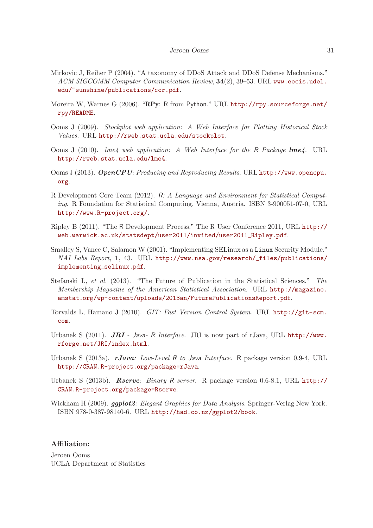- <span id="page-30-0"></span>Mirkovic J, Reiher P (2004). "A taxonomy of DDoS Attack and DDoS Defense Mechanisms." ACM SIGCOMM Computer Communication Review, 34(2), 39–53. URL [www.eecis.udel.](www.eecis.udel.edu/~sunshine/publications/ccr.pdf) [edu/~sunshine/publications/ccr.pdf](www.eecis.udel.edu/~sunshine/publications/ccr.pdf).
- Moreira W, Warnes G (2006). "RPy: R from Python." URL [http://rpy.sourceforge.net/](http://rpy.sourceforge.net/rpy/README) [rpy/README](http://rpy.sourceforge.net/rpy/README).
- Ooms J (2009). Stockplot web application: A Web Interface for Plotting Historical Stock Values. URL <http://rweb.stat.ucla.edu/stockplot>.
- Ooms J (2010). *lme4 web application: A Web Interface for the R Package lme4*. URL <http://rweb.stat.ucla.edu/lme4>.
- Ooms J (2013). OpenCPU: Producing and Reproducing Results. URL [http://www.opencpu.](http://www.opencpu.org) [org](http://www.opencpu.org).
- R Development Core Team (2012). R: A Language and Environment for Statistical Computing. R Foundation for Statistical Computing, Vienna, Austria. ISBN 3-900051-07-0, URL <http://www.R-project.org/>.
- Ripley B (2011). "The R Development Process." The R User Conference 2011, URL [http://](http://web.warwick.ac.uk/statsdept/user2011/invited/user2011_Ripley.pdf) [web.warwick.ac.uk/statsdept/user2011/invited/user2011\\_Ripley.pdf](http://web.warwick.ac.uk/statsdept/user2011/invited/user2011_Ripley.pdf).
- Smalley S, Vance C, Salamon W (2001). "Implementing SELinux as a Linux Security Module." NAI Labs Report, 1, 43. URL [http://www.nsa.gov/research/\\_files/publications/](http://www.nsa.gov/research/_files/publications/implementing_selinux.pdf) [implementing\\_selinux.pdf](http://www.nsa.gov/research/_files/publications/implementing_selinux.pdf).
- Stefanski L, et al. (2013). "The Future of Publication in the Statistical Sciences." The Membership Magazine of the American Statistical Association. URL [http://magazine.](http://magazine.amstat.org/wp-content/uploads/2013an/FuturePublicationsReport.pdf) [amstat.org/wp-content/uploads/2013an/FuturePublicationsReport.pdf](http://magazine.amstat.org/wp-content/uploads/2013an/FuturePublicationsReport.pdf).
- Torvalds L, Hamano J (2010). GIT: Fast Version Control System. URL [http://git-scm.](http://git-scm.com) [com](http://git-scm.com).
- Urbanek S (2011). **JRI** Java- R Interface. JRI is now part of rJava, URL [http://www.](http://www.rforge.net/JRI/index.html) [rforge.net/JRI/index.html](http://www.rforge.net/JRI/index.html).
- Urbanek S (2013a).  $rJava: Low-Level R to Java Interface. R package version 0.9-4, URL$ <http://CRAN.R-project.org/package=rJava>.
- Urbanek S (2013b). Rserve: Binary R server. R package version 0.6-8.1, URL [http://](http://CRAN.R-project.org/package=Rserve) [CRAN.R-project.org/package=Rserve](http://CRAN.R-project.org/package=Rserve).
- Wickham H (2009). *ggplot2: Elegant Graphics for Data Analysis*. Springer-Verlag New York. ISBN 978-0-387-98140-6. URL <http://had.co.nz/ggplot2/book>.

### Affiliation:

Jeroen Ooms UCLA Department of Statistics